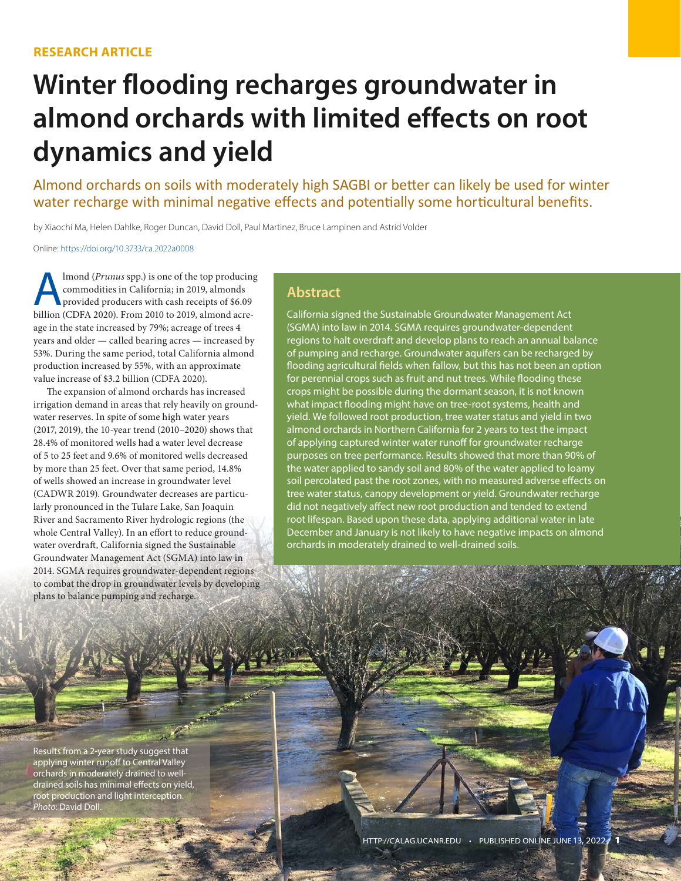# **Winter flooding recharges groundwater in almond orchards with limited effects on root dynamics and yield**

Almond orchards on soils with moderately high SAGBI or better can likely be used for winter water recharge with minimal negative effects and potentially some horticultural benefits.

by Xiaochi Ma, Helen Dahlke, Roger Duncan, David Doll, Paul Martinez, Bruce Lampinen and Astrid Volder

Online: [https://doi.org/10.3733/ca.2022a000](https://doi.org/10.3733/ca.2022a0008)8

Almond (*Prunus* spp.) is one of the top producing commodities in California; in 2019, almonds provided producers with cash receipts of \$6.09 billion (CDFA 2020). From 2010 to 2019, almond acreage in the state increased by 79%; acreage of trees 4 years and older — called bearing acres — increased by 53%. During the same period, total California almond production increased by 55%, with an approximate value increase of \$3.2 billion (CDFA 2020).

The expansion of almond orchards has increased irrigation demand in areas that rely heavily on groundwater reserves. In spite of some high water years (2017, 2019), the 10-year trend (2010–2020) shows that 28.4% of monitored wells had a water level decrease of 5 to 25 feet and 9.6% of monitored wells decreased by more than 25 feet. Over that same period, 14.8% of wells showed an increase in groundwater level (CADWR 2019). Groundwater decreases are particularly pronounced in the Tulare Lake, San Joaquin River and Sacramento River hydrologic regions (the whole Central Valley). In an effort to reduce groundwater overdraft, California signed the Sustainable Groundwater Management Act (SGMA) into law in 2014. SGMA requires groundwater-dependent regions to combat the drop in groundwater levels by developing plans to balance pumping and recharge.

#### **Abstract**

California signed the Sustainable Groundwater Management Act (SGMA) into law in 2014. SGMA requires groundwater-dependent regions to halt overdraft and develop plans to reach an annual balance of pumping and recharge. Groundwater aquifers can be recharged by flooding agricultural fields when fallow, but this has not been an option for perennial crops such as fruit and nut trees. While flooding these crops might be possible during the dormant season, it is not known what impact flooding might have on tree-root systems, health and yield. We followed root production, tree water status and yield in two almond orchards in Northern California for 2 years to test the impact of applying captured winter water runoff for groundwater recharge purposes on tree performance. Results showed that more than 90% of the water applied to sandy soil and 80% of the water applied to loamy soil percolated past the root zones, with no measured adverse effects on tree water status, canopy development or yield. Groundwater recharge did not negatively affect new root production and tended to extend root lifespan. Based upon these data, applying additional water in late December and January is not likely to have negative impacts on almond orchards in moderately drained to well-drained soils.

Results from a 2-year study suggest that applying winter runoff to Central Valley orchards in moderately drained to welldrained soils has minimal effects on yield, root production and light interception. *Photo*: David Doll.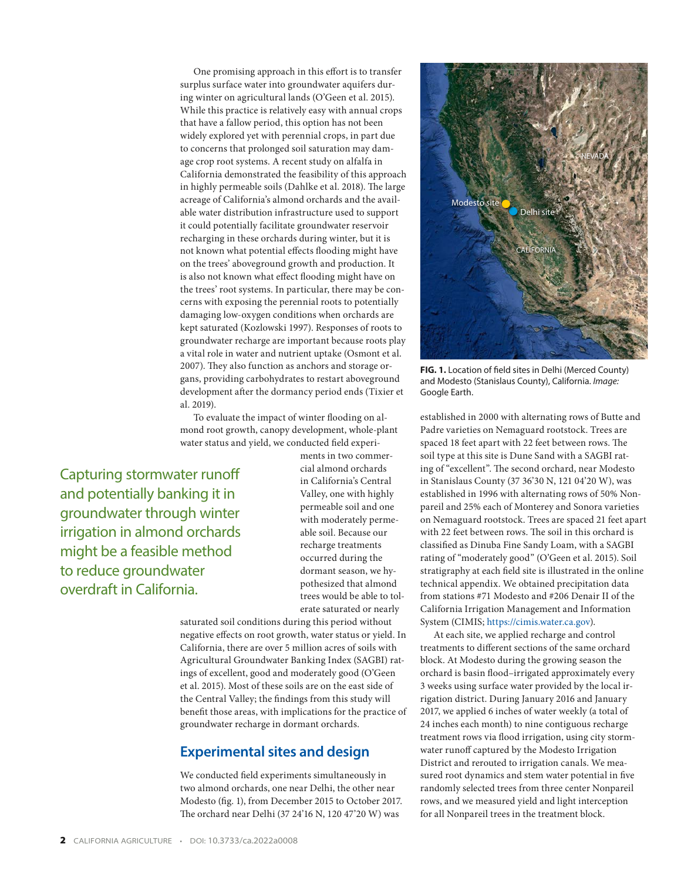One promising approach in this effort is to transfer surplus surface water into groundwater aquifers during winter on agricultural lands (O'Geen et al. 2015). While this practice is relatively easy with annual crops that have a fallow period, this option has not been widely explored yet with perennial crops, in part due to concerns that prolonged soil saturation may damage crop root systems. A recent study on alfalfa in California demonstrated the feasibility of this approach in highly permeable soils (Dahlke et al. 2018). The large acreage of California's almond orchards and the available water distribution infrastructure used to support it could potentially facilitate groundwater reservoir recharging in these orchards during winter, but it is not known what potential effects flooding might have on the trees' aboveground growth and production. It is also not known what effect flooding might have on the trees' root systems. In particular, there may be concerns with exposing the perennial roots to potentially damaging low-oxygen conditions when orchards are kept saturated (Kozlowski 1997). Responses of roots to groundwater recharge are important because roots play a vital role in water and nutrient uptake (Osmont et al. 2007). They also function as anchors and storage organs, providing carbohydrates to restart aboveground development after the dormancy period ends (Tixier et al. 2019).

To evaluate the impact of winter flooding on almond root growth, canopy development, whole-plant water status and yield, we conducted field experi-

Capturing stormwater runoff and potentially banking it in groundwater through winter irrigation in almond orchards might be a feasible method to reduce groundwater overdraft in California.

ments in two commercial almond orchards in California's Central Valley, one with highly permeable soil and one with moderately permeable soil. Because our recharge treatments occurred during the dormant season, we hypothesized that almond trees would be able to tolerate saturated or nearly

saturated soil conditions during this period without negative effects on root growth, water status or yield. In California, there are over 5 million acres of soils with Agricultural Groundwater Banking Index (SAGBI) ratings of excellent, good and moderately good (O'Geen et al. 2015). Most of these soils are on the east side of the Central Valley; the findings from this study will benefit those areas, with implications for the practice of groundwater recharge in dormant orchards.

## **Experimental sites and design**

We conducted field experiments simultaneously in two almond orchards, one near Delhi, the other near Modesto (fig. 1), from December 2015 to October 2017. The orchard near Delhi (37 24'16 N, 120 47'20 W) was



**FIG. 1.** Location of field sites in Delhi (Merced County) and Modesto (Stanislaus County), California. *Image:* Google Earth.

established in 2000 with alternating rows of Butte and Padre varieties on Nemaguard rootstock. Trees are spaced 18 feet apart with 22 feet between rows. The soil type at this site is Dune Sand with a SAGBI rating of "excellent". The second orchard, near Modesto in Stanislaus County (37 36'30 N, 121 04'20 W), was established in 1996 with alternating rows of 50% Nonpareil and 25% each of Monterey and Sonora varieties on Nemaguard rootstock. Trees are spaced 21 feet apart with 22 feet between rows. The soil in this orchard is classified as Dinuba Fine Sandy Loam, with a SAGBI rating of "moderately good" (O'Geen et al. 2015). Soil stratigraphy at each field site is illustrated in the online technical appendix. We obtained precipitation data from stations #71 Modesto and #206 Denair II of the California Irrigation Management and Information System (CIMIS; [https://cimis.water.ca.gov\)](https://cimis.water.ca.gov).

At each site, we applied recharge and control treatments to different sections of the same orchard block. At Modesto during the growing season the orchard is basin flood–irrigated approximately every 3 weeks using surface water provided by the local irrigation district. During January 2016 and January 2017, we applied 6 inches of water weekly (a total of 24 inches each month) to nine contiguous recharge treatment rows via flood irrigation, using city stormwater runoff captured by the Modesto Irrigation District and rerouted to irrigation canals. We measured root dynamics and stem water potential in five randomly selected trees from three center Nonpareil rows, and we measured yield and light interception for all Nonpareil trees in the treatment block.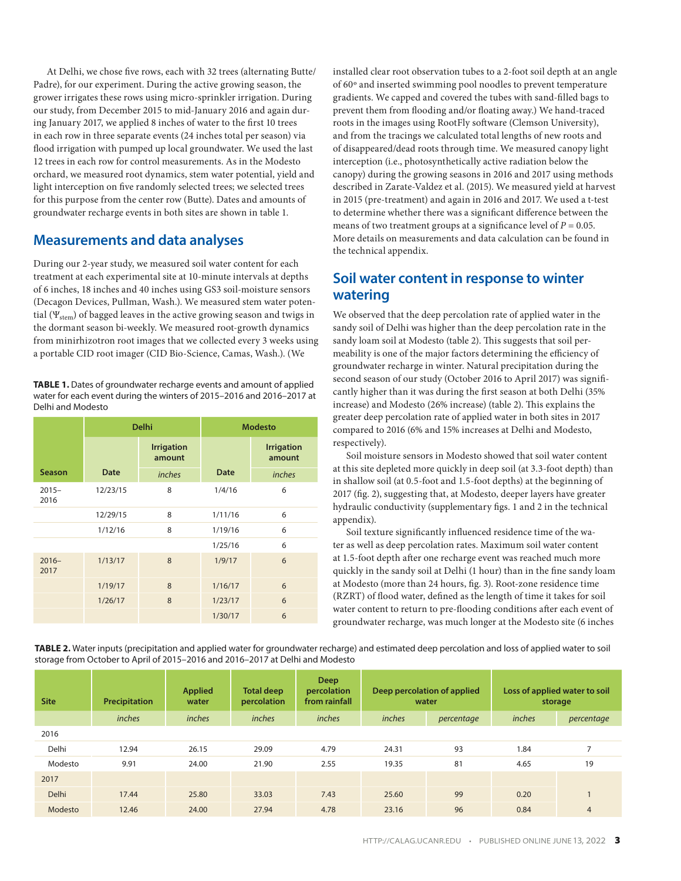At Delhi, we chose five rows, each with 32 trees (alternating Butte/ Padre), for our experiment. During the active growing season, the grower irrigates these rows using micro-sprinkler irrigation. During our study, from December 2015 to mid-January 2016 and again during January 2017, we applied 8 inches of water to the first 10 trees in each row in three separate events (24 inches total per season) via flood irrigation with pumped up local groundwater. We used the last 12 trees in each row for control measurements. As in the Modesto orchard, we measured root dynamics, stem water potential, yield and light interception on five randomly selected trees; we selected trees for this purpose from the center row (Butte). Dates and amounts of groundwater recharge events in both sites are shown in table 1.

## **Measurements and data analyses**

During our 2-year study, we measured soil water content for each treatment at each experimental site at 10-minute intervals at depths of 6 inches, 18 inches and 40 inches using GS3 soil-moisture sensors (Decagon Devices, Pullman, Wash.). We measured stem water potential ( $\Psi_{\text{stem}}$ ) of bagged leaves in the active growing season and twigs in the dormant season bi-weekly. We measured root-growth dynamics from minirhizotron root images that we collected every 3 weeks using a portable CID root imager (CID Bio-Science, Camas, Wash.). (We

**TABLE 1.** Dates of groundwater recharge events and amount of applied water for each event during the winters of 2015–2016 and 2016–2017 at Delhi and Modesto

|                  |               | <b>Delhi</b>                |             | <b>Modesto</b>              |  |
|------------------|---------------|-----------------------------|-------------|-----------------------------|--|
|                  |               | <b>Irrigation</b><br>amount |             | <b>Irrigation</b><br>amount |  |
| <b>Season</b>    | <b>Date</b>   | inches                      | <b>Date</b> | inches                      |  |
| $2015 -$<br>2016 | 12/23/15<br>8 |                             | 1/4/16      | 6                           |  |
|                  | 12/29/15      | 8                           | 1/11/16     | 6                           |  |
|                  | 1/12/16       | 8                           | 1/19/16     | 6                           |  |
|                  |               |                             | 1/25/16     | 6                           |  |
| $2016 -$<br>2017 | 1/13/17       | 8                           | 1/9/17      | 6                           |  |
|                  | 1/19/17       | 8                           | 1/16/17     | 6                           |  |
|                  | 1/26/17       | 8                           | 1/23/17     | 6                           |  |
|                  |               |                             | 1/30/17     | 6                           |  |

installed clear root observation tubes to a 2-foot soil depth at an angle of 60º and inserted swimming pool noodles to prevent temperature gradients. We capped and covered the tubes with sand-filled bags to prevent them from flooding and/or floating away.) We hand-traced roots in the images using RootFly software (Clemson University), and from the tracings we calculated total lengths of new roots and of disappeared/dead roots through time. We measured canopy light interception (i.e., photosynthetically active radiation below the canopy) during the growing seasons in 2016 and 2017 using methods described in Zarate-Valdez et al. (2015). We measured yield at harvest in 2015 (pre-treatment) and again in 2016 and 2017. We used a t-test to determine whether there was a significant difference between the means of two treatment groups at a significance level of  $P = 0.05$ . More details on measurements and data calculation can be found in the technical appendix.

# **Soil water content in response to winter watering**

We observed that the deep percolation rate of applied water in the sandy soil of Delhi was higher than the deep percolation rate in the sandy loam soil at Modesto (table 2). This suggests that soil permeability is one of the major factors determining the efficiency of groundwater recharge in winter. Natural precipitation during the second season of our study (October 2016 to April 2017) was significantly higher than it was during the first season at both Delhi (35% increase) and Modesto (26% increase) (table 2). This explains the greater deep percolation rate of applied water in both sites in 2017 compared to 2016 (6% and 15% increases at Delhi and Modesto, respectively).

Soil moisture sensors in Modesto showed that soil water content at this site depleted more quickly in deep soil (at 3.3-foot depth) than in shallow soil (at 0.5-foot and 1.5-foot depths) at the beginning of 2017 (fig. 2), suggesting that, at Modesto, deeper layers have greater hydraulic conductivity (supplementary figs. 1 and 2 in the technical appendix).

Soil texture significantly influenced residence time of the water as well as deep percolation rates. Maximum soil water content at 1.5-foot depth after one recharge event was reached much more quickly in the sandy soil at Delhi (1 hour) than in the fine sandy loam at Modesto (more than 24 hours, fig. 3). Root-zone residence time (RZRT) of flood water, defined as the length of time it takes for soil water content to return to pre-flooding conditions after each event of groundwater recharge, was much longer at the Modesto site (6 inches

**TABLE 2.** Water inputs (precipitation and applied water for groundwater recharge) and estimated deep percolation and loss of applied water to soil storage from October to April of 2015–2016 and 2016–2017 at Delhi and Modesto

| <b>Site</b> | Precipitation | <b>Applied</b><br>water | <b>Total deep</b><br>percolation | <b>Deep</b><br>percolation<br>from rainfall | Deep percolation of applied<br>water |            | Loss of applied water to soil<br>storage |                          |
|-------------|---------------|-------------------------|----------------------------------|---------------------------------------------|--------------------------------------|------------|------------------------------------------|--------------------------|
|             | inches        | inches                  | inches                           | inches                                      | inches                               | percentage | inches                                   | percentage               |
| 2016        |               |                         |                                  |                                             |                                      |            |                                          |                          |
| Delhi       | 12.94         | 26.15                   | 29.09                            | 4.79                                        | 24.31                                | 93         | 1.84                                     | $\overline{\phantom{a}}$ |
| Modesto     | 9.91          | 24.00                   | 21.90                            | 2.55                                        | 19.35                                | 81         | 4.65                                     | 19                       |
| 2017        |               |                         |                                  |                                             |                                      |            |                                          |                          |
| Delhi       | 17.44         | 25.80                   | 33.03                            | 7.43                                        | 25.60                                | 99         | 0.20                                     |                          |
| Modesto     | 12.46         | 24.00                   | 27.94                            | 4.78                                        | 23.16                                | 96         | 0.84                                     | $\overline{4}$           |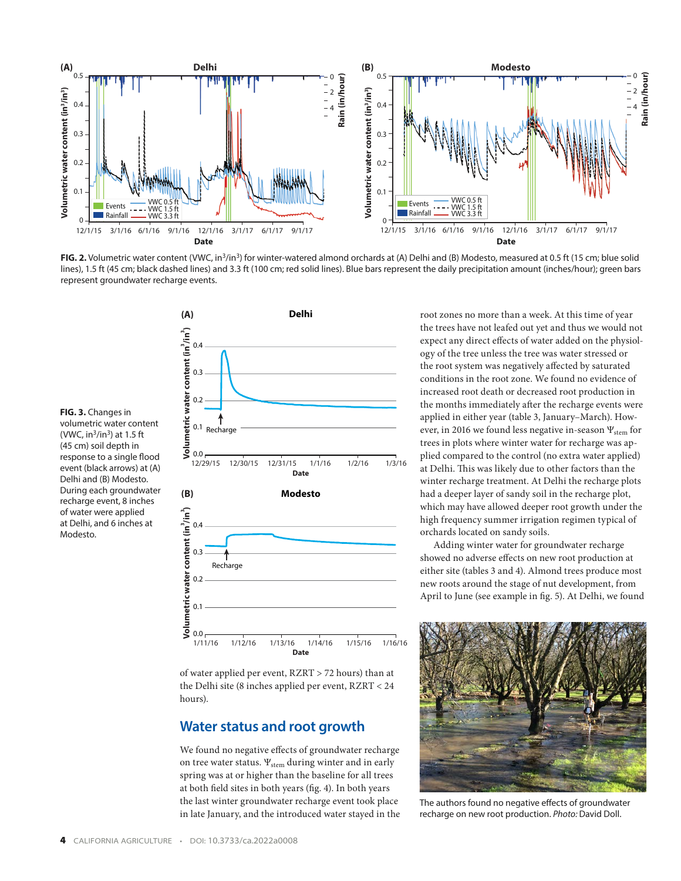

FIG. 2. Volumetric water content (VWC, in<sup>3</sup>/in<sup>3</sup>) for winter-watered almond orchards at (A) Delhi and (B) Modesto, measured at 0.5 ft (15 cm; blue solid lines), 1.5 ft (45 cm; black dashed lines) and 3.3 ft (100 cm; red solid lines). Blue bars represent the daily precipitation amount (inches/hour); green bars represent groundwater recharge events.



of water applied per event, RZRT > 72 hours) than at the Delhi site (8 inches applied per event, RZRT < 24 hours).

#### **Water status and root growth**

We found no negative effects of groundwater recharge on tree water status.  $\Psi_{\text{stem}}$  during winter and in early spring was at or higher than the baseline for all trees at both field sites in both years (fig. 4). In both years the last winter groundwater recharge event took place in late January, and the introduced water stayed in the root zones no more than a week. At this time of year the trees have not leafed out yet and thus we would not expect any direct effects of water added on the physiology of the tree unless the tree was water stressed or the root system was negatively affected by saturated conditions in the root zone. We found no evidence of increased root death or decreased root production in the months immediately after the recharge events were applied in either year (table 3, January–March). However, in 2016 we found less negative in-season  $\Psi_{\text{stem}}$  for trees in plots where winter water for recharge was applied compared to the control (no extra water applied) at Delhi. This was likely due to other factors than the winter recharge treatment. At Delhi the recharge plots had a deeper layer of sandy soil in the recharge plot, which may have allowed deeper root growth under the high frequency summer irrigation regimen typical of orchards located on sandy soils.

Adding winter water for groundwater recharge showed no adverse effects on new root production at either site (tables 3 and 4). Almond trees produce most new roots around the stage of nut development, from April to June (see example in fig. 5). At Delhi, we found



The authors found no negative effects of groundwater recharge on new root production. *Photo:* David Doll.

volumetric water content (VWC,  $in^3/in^3$ ) at 1.5 ft (45 cm) soil depth in response to a single flood event (black arrows) at (A) Delhi and (B) Modesto. During each groundwater recharge event, 8 inches of water were applied

at Delhi, and 6 inches at

Modesto.

**FIG. 3.** Changes in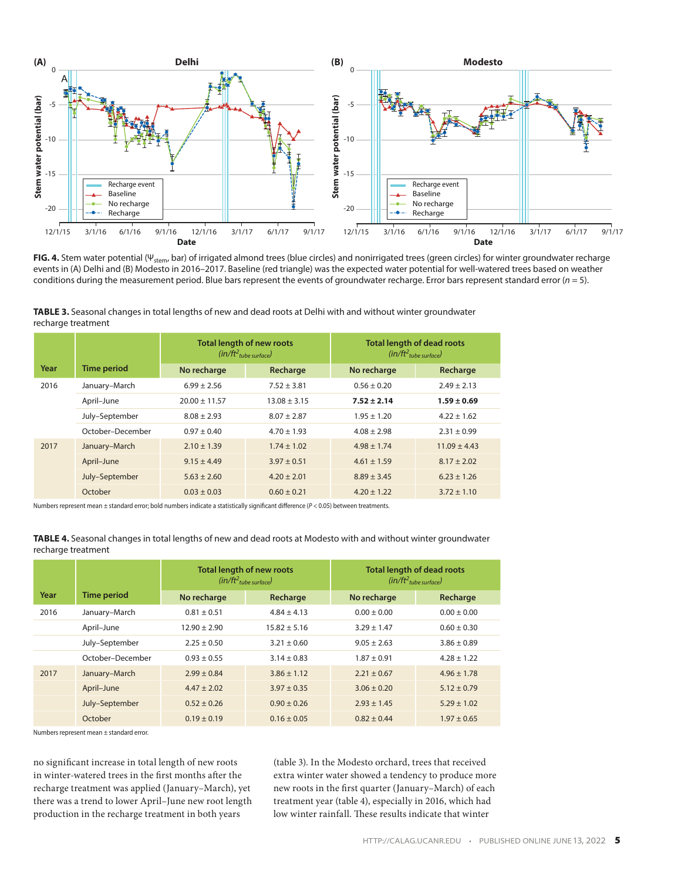

**FIG. 4.** Stem water potential (Ψstem, bar) of irrigated almond trees (blue circles) and nonirrigated trees (green circles) for winter groundwater recharge events in (A) Delhi and (B) Modesto in 2016–2017. Baseline (red triangle) was the expected water potential for well-watered trees based on weather conditions during the measurement period. Blue bars represent the events of groundwater recharge. Error bars represent standard error (*n* = 5).

**TABLE 3.** Seasonal changes in total lengths of new and dead roots at Delhi with and without winter groundwater recharge treatment

|      |                    |                   | <b>Total length of new roots</b><br>$(in/ft2tube surface)$ | <b>Total length of dead roots</b><br>$(in/ft2$ tube surface) |                  |  |
|------|--------------------|-------------------|------------------------------------------------------------|--------------------------------------------------------------|------------------|--|
| Year | <b>Time period</b> | No recharge       | Recharge                                                   | No recharge                                                  | Recharge         |  |
| 2016 | January-March      | $6.99 + 2.56$     | $7.52 \pm 3.81$                                            | $0.56 \pm 0.20$                                              | $2.49 \pm 2.13$  |  |
|      | April-June         | $20.00 \pm 11.57$ | $13.08 \pm 3.15$                                           | $7.52 \pm 2.14$                                              | $1.59 \pm 0.69$  |  |
|      | July-September     | $8.08 \pm 2.93$   | $8.07 \pm 2.87$                                            | $1.95 \pm 1.20$                                              | $4.22 \pm 1.62$  |  |
|      | October-December   | $0.97 \pm 0.40$   | $4.70 \pm 1.93$                                            | $4.08 \pm 2.98$                                              | $2.31 \pm 0.99$  |  |
| 2017 | January-March      | $2.10 \pm 1.39$   | $1.74 \pm 1.02$                                            | $4.98 \pm 1.74$                                              | $11.09 \pm 4.43$ |  |
|      | April-June         | $9.15 \pm 4.49$   | $3.97 \pm 0.51$                                            | $4.61 \pm 1.59$                                              | $8.17 \pm 2.02$  |  |
|      | July-September     | $5.63 \pm 2.60$   | $4.20 \pm 2.01$                                            | $8.89 \pm 3.45$                                              | $6.23 \pm 1.26$  |  |
|      | October            | $0.03 \pm 0.03$   | $0.60 \pm 0.21$                                            | $4.20 \pm 1.22$                                              | $3.72 \pm 1.10$  |  |

Numbers represent mean ± standard error; bold numbers indicate a statistically significant difference (*P* < 0.05) between treatments.

**TABLE 4.** Seasonal changes in total lengths of new and dead roots at Modesto with and without winter groundwater recharge treatment

|      |                    | <b>Total length of new roots</b><br>$(in/ft2_{tube surface})$ |                  | <b>Total length of dead roots</b><br>$(in/ft2$ tube surface) |                 |  |
|------|--------------------|---------------------------------------------------------------|------------------|--------------------------------------------------------------|-----------------|--|
| Year | <b>Time period</b> | No recharge                                                   | Recharge         | No recharge                                                  | Recharge        |  |
| 2016 | January-March      | $0.81 \pm 0.51$                                               | $4.84 \pm 4.13$  | $0.00 \pm 0.00$                                              | $0.00 \pm 0.00$ |  |
|      | April-June         | $12.90 \pm 2.90$                                              | $15.82 \pm 5.16$ | $3.29 \pm 1.47$                                              | $0.60 \pm 0.30$ |  |
|      | July-September     | $2.25 \pm 0.50$                                               | $3.21 \pm 0.60$  | $9.05 \pm 2.63$                                              | $3.86 \pm 0.89$ |  |
|      | October-December   | $0.93 \pm 0.55$                                               | $3.14 \pm 0.83$  | $1.87 \pm 0.91$                                              | $4.28 \pm 1.22$ |  |
| 2017 | January-March      | $2.99 \pm 0.84$                                               | $3.86 \pm 1.12$  | $2.21 \pm 0.67$                                              | $4.96 \pm 1.78$ |  |
|      | April-June         | $4.47 \pm 2.02$                                               | $3.97 \pm 0.35$  | $3.06 \pm 0.20$                                              | $5.12 \pm 0.79$ |  |
|      | July-September     | $0.52 \pm 0.26$                                               | $0.90 \pm 0.26$  | $2.93 \pm 1.45$                                              | $5.29 \pm 1.02$ |  |
|      | October            | $0.19 \pm 0.19$                                               | $0.16 \pm 0.05$  | $0.82 \pm 0.44$                                              | $1.97 \pm 0.65$ |  |

Numbers represent mean ± standard error.

no significant increase in total length of new roots in winter-watered trees in the first months after the recharge treatment was applied (January–March), yet there was a trend to lower April–June new root length production in the recharge treatment in both years

(table 3). In the Modesto orchard, trees that received extra winter water showed a tendency to produce more new roots in the first quarter (January–March) of each treatment year (table 4), especially in 2016, which had low winter rainfall. These results indicate that winter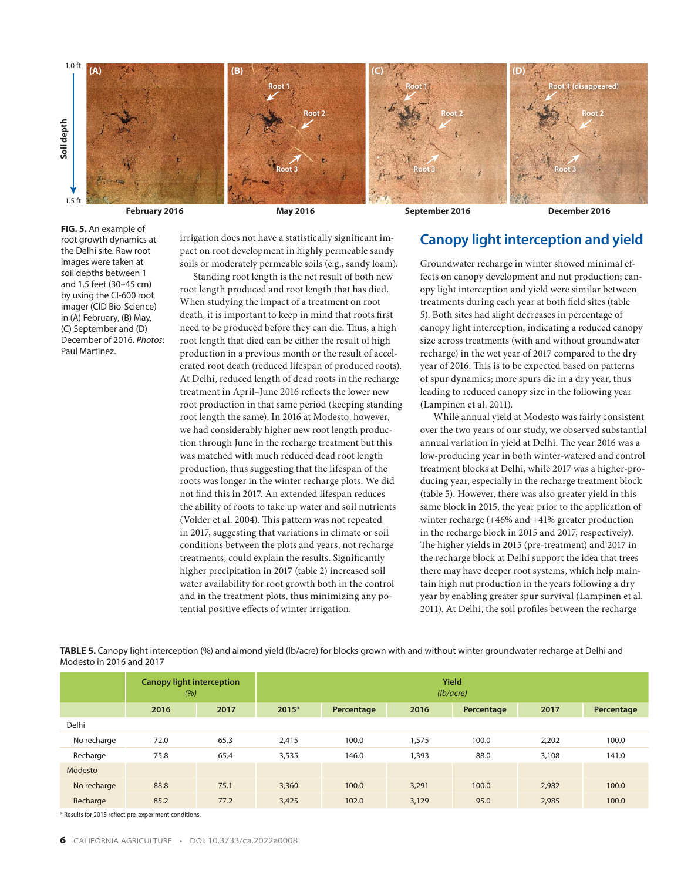

**FIG. 5.** An example of root growth dynamics at the Delhi site. Raw root images were taken at soil depths between 1 and 1.5 feet (30–45 cm) by using the CI-600 root imager (CID Bio-Science) in (A) February, (B) May, (C) September and (D) December of 2016. *Photos*: Paul Martinez.

irrigation does not have a statistically significant impact on root development in highly permeable sandy soils or moderately permeable soils (e.g., sandy loam).

Standing root length is the net result of both new root length produced and root length that has died. When studying the impact of a treatment on root death, it is important to keep in mind that roots first need to be produced before they can die. Thus, a high root length that died can be either the result of high production in a previous month or the result of accelerated root death (reduced lifespan of produced roots). At Delhi, reduced length of dead roots in the recharge treatment in April–June 2016 reflects the lower new root production in that same period (keeping standing root length the same). In 2016 at Modesto, however, we had considerably higher new root length production through June in the recharge treatment but this was matched with much reduced dead root length production, thus suggesting that the lifespan of the roots was longer in the winter recharge plots. We did not find this in 2017. An extended lifespan reduces the ability of roots to take up water and soil nutrients (Volder et al. 2004). This pattern was not repeated in 2017, suggesting that variations in climate or soil conditions between the plots and years, not recharge treatments, could explain the results. Significantly higher precipitation in 2017 (table 2) increased soil water availability for root growth both in the control and in the treatment plots, thus minimizing any potential positive effects of winter irrigation.

## **Canopy light interception and yield**

Groundwater recharge in winter showed minimal effects on canopy development and nut production; canopy light interception and yield were similar between treatments during each year at both field sites (table 5). Both sites had slight decreases in percentage of canopy light interception, indicating a reduced canopy size across treatments (with and without groundwater recharge) in the wet year of 2017 compared to the dry year of 2016. This is to be expected based on patterns of spur dynamics; more spurs die in a dry year, thus leading to reduced canopy size in the following year (Lampinen et al. 2011).

While annual yield at Modesto was fairly consistent over the two years of our study, we observed substantial annual variation in yield at Delhi. The year 2016 was a low-producing year in both winter-watered and control treatment blocks at Delhi, while 2017 was a higher-producing year, especially in the recharge treatment block (table 5). However, there was also greater yield in this same block in 2015, the year prior to the application of winter recharge (+46% and +41% greater production in the recharge block in 2015 and 2017, respectively). The higher yields in 2015 (pre-treatment) and 2017 in the recharge block at Delhi support the idea that trees there may have deeper root systems, which help maintain high nut production in the years following a dry year by enabling greater spur survival (Lampinen et al. 2011). At Delhi, the soil profiles between the recharge

**TABLE 5.** Canopy light interception (%) and almond yield (lb/acre) for blocks grown with and without winter groundwater recharge at Delhi and Modesto in 2016 and 2017

|              | <b>Canopy light interception</b><br>(%) |      | <b>Yield</b><br>(lb/acre) |            |       |            |       |            |
|--------------|-----------------------------------------|------|---------------------------|------------|-------|------------|-------|------------|
|              | 2016                                    | 2017 | 2015*                     | Percentage | 2016  | Percentage | 2017  | Percentage |
| <b>Delhi</b> |                                         |      |                           |            |       |            |       |            |
| No recharge  | 72.0                                    | 65.3 | 2,415                     | 100.0      | 1,575 | 100.0      | 2,202 | 100.0      |
| Recharge     | 75.8                                    | 65.4 | 3,535                     | 146.0      | 1,393 | 88.0       | 3,108 | 141.0      |
| Modesto      |                                         |      |                           |            |       |            |       |            |
| No recharge  | 88.8                                    | 75.1 | 3,360                     | 100.0      | 3,291 | 100.0      | 2,982 | 100.0      |
| Recharge     | 85.2                                    | 77.2 | 3,425                     | 102.0      | 3,129 | 95.0       | 2,985 | 100.0      |

\* Results for 2015 reflect pre-experiment conditions.